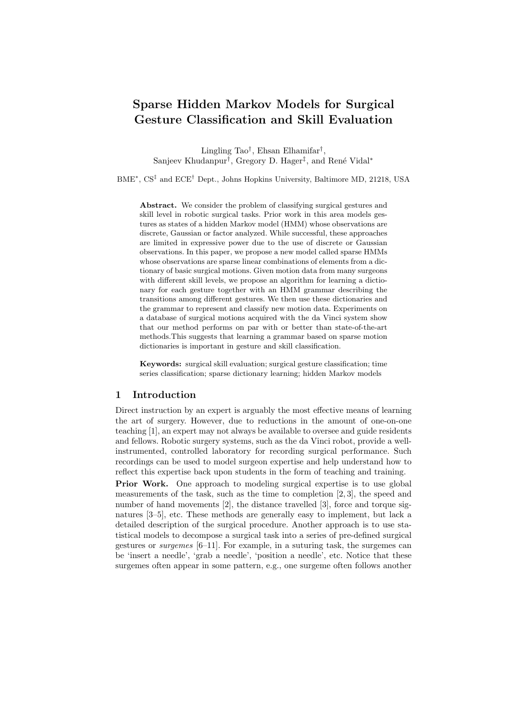# Sparse Hidden Markov Models for Surgical Gesture Classification and Skill Evaluation

Lingling Tao<sup>†</sup>, Ehsan Elhamifar<sup>†</sup>, Sanjeev Khudanpur<sup>†</sup>, Gregory D. Hager<sup>‡</sup>, and René Vidal<sup>\*</sup>

BME<sup>∗</sup>, CS<sup>‡</sup> and ECE<sup>†</sup> Dept., Johns Hopkins University, Baltimore MD, 21218, USA

Abstract. We consider the problem of classifying surgical gestures and skill level in robotic surgical tasks. Prior work in this area models gestures as states of a hidden Markov model (HMM) whose observations are discrete, Gaussian or factor analyzed. While successful, these approaches are limited in expressive power due to the use of discrete or Gaussian observations. In this paper, we propose a new model called sparse HMMs whose observations are sparse linear combinations of elements from a dictionary of basic surgical motions. Given motion data from many surgeons with different skill levels, we propose an algorithm for learning a dictionary for each gesture together with an HMM grammar describing the transitions among different gestures. We then use these dictionaries and the grammar to represent and classify new motion data. Experiments on a database of surgical motions acquired with the da Vinci system show that our method performs on par with or better than state-of-the-art methods.This suggests that learning a grammar based on sparse motion dictionaries is important in gesture and skill classification.

Keywords: surgical skill evaluation; surgical gesture classification; time series classification; sparse dictionary learning; hidden Markov models

# 1 Introduction

Direct instruction by an expert is arguably the most effective means of learning the art of surgery. However, due to reductions in the amount of one-on-one teaching [1], an expert may not always be available to oversee and guide residents and fellows. Robotic surgery systems, such as the da Vinci robot, provide a wellinstrumented, controlled laboratory for recording surgical performance. Such recordings can be used to model surgeon expertise and help understand how to reflect this expertise back upon students in the form of teaching and training.

Prior Work. One approach to modeling surgical expertise is to use global measurements of the task, such as the time to completion [2, 3], the speed and number of hand movements [2], the distance travelled [3], force and torque signatures [3–5], etc. These methods are generally easy to implement, but lack a detailed description of the surgical procedure. Another approach is to use statistical models to decompose a surgical task into a series of pre-defined surgical gestures or *surgemes*  $[6-11]$ . For example, in a suturing task, the surgemes can be 'insert a needle', 'grab a needle', 'position a needle', etc. Notice that these surgemes often appear in some pattern, e.g., one surgeme often follows another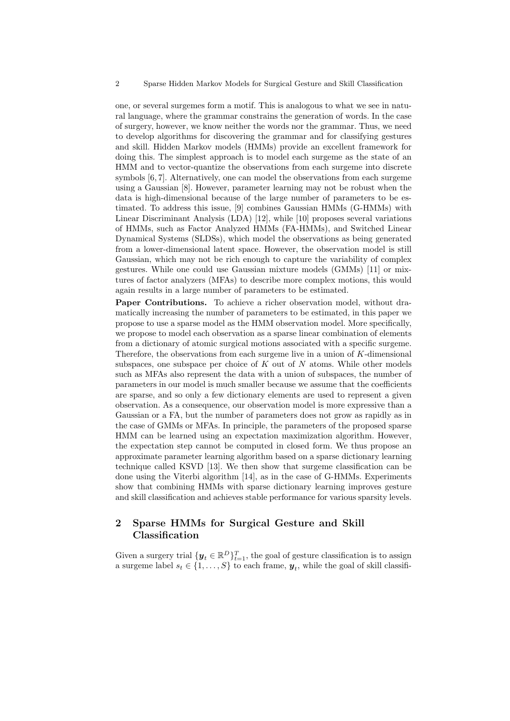one, or several surgemes form a motif. This is analogous to what we see in natural language, where the grammar constrains the generation of words. In the case of surgery, however, we know neither the words nor the grammar. Thus, we need to develop algorithms for discovering the grammar and for classifying gestures and skill. Hidden Markov models (HMMs) provide an excellent framework for doing this. The simplest approach is to model each surgeme as the state of an HMM and to vector-quantize the observations from each surgeme into discrete symbols [6, 7]. Alternatively, one can model the observations from each surgeme using a Gaussian [8]. However, parameter learning may not be robust when the data is high-dimensional because of the large number of parameters to be estimated. To address this issue, [9] combines Gaussian HMMs (G-HMMs) with Linear Discriminant Analysis (LDA) [12], while [10] proposes several variations of HMMs, such as Factor Analyzed HMMs (FA-HMMs), and Switched Linear Dynamical Systems (SLDSs), which model the observations as being generated from a lower-dimensional latent space. However, the observation model is still Gaussian, which may not be rich enough to capture the variability of complex gestures. While one could use Gaussian mixture models (GMMs) [11] or mixtures of factor analyzers (MFAs) to describe more complex motions, this would again results in a large number of parameters to be estimated.

Paper Contributions. To achieve a richer observation model, without dramatically increasing the number of parameters to be estimated, in this paper we propose to use a sparse model as the HMM observation model. More specifically, we propose to model each observation as a sparse linear combination of elements from a dictionary of atomic surgical motions associated with a specific surgeme. Therefore, the observations from each surgeme live in a union of  $K$ -dimensional subspaces, one subspace per choice of  $K$  out of  $N$  atoms. While other models such as MFAs also represent the data with a union of subspaces, the number of parameters in our model is much smaller because we assume that the coefficients are sparse, and so only a few dictionary elements are used to represent a given observation. As a consequence, our observation model is more expressive than a Gaussian or a FA, but the number of parameters does not grow as rapidly as in the case of GMMs or MFAs. In principle, the parameters of the proposed sparse HMM can be learned using an expectation maximization algorithm. However, the expectation step cannot be computed in closed form. We thus propose an approximate parameter learning algorithm based on a sparse dictionary learning technique called KSVD [13]. We then show that surgeme classification can be done using the Viterbi algorithm [14], as in the case of G-HMMs. Experiments show that combining HMMs with sparse dictionary learning improves gesture and skill classification and achieves stable performance for various sparsity levels.

# 2 Sparse HMMs for Surgical Gesture and Skill Classification

Given a surgery trial  $\{y_t \in \mathbb{R}^D\}_{t=1}^T$ , the goal of gesture classification is to assign a surgeme label  $s_t \in \{1, \ldots, S\}$  to each frame,  $y_t$ , while the goal of skill classifi-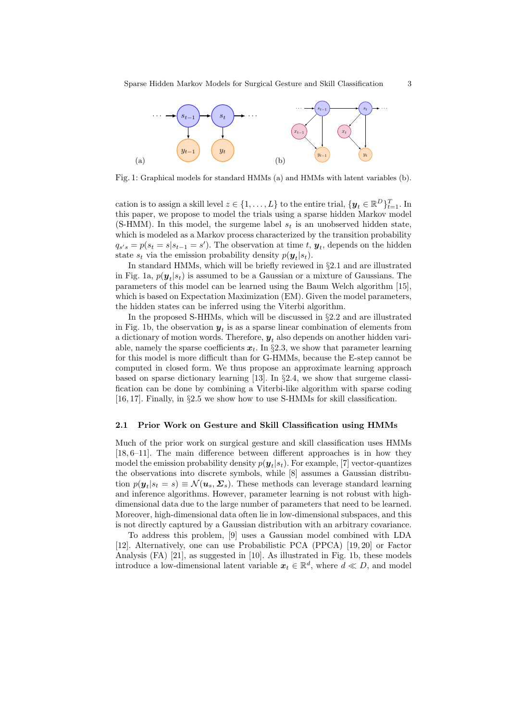

Fig. 1: Graphical models for standard HMMs (a) and HMMs with latent variables (b).

cation is to assign a skill level  $z \in \{1, ..., L\}$  to the entire trial,  $\{y_t \in \mathbb{R}^D\}_{t=1}^T$ . In this paper, we propose to model the trials using a sparse hidden Markov model (S-HMM). In this model, the surgeme label  $s_t$  is an unobserved hidden state, which is modeled as a Markov process characterized by the transition probability  $q_{s's} = p(s_t = s | s_{t-1} = s')$ . The observation at time t,  $y_t$ , depends on the hidden state  $s_t$  via the emission probability density  $p(\mathbf{y}_t|s_t)$ .

In standard HMMs, which will be briefly reviewed in §2.1 and are illustrated in Fig. 1a,  $p(\mathbf{y}_t|s_t)$  is assumed to be a Gaussian or a mixture of Gaussians. The parameters of this model can be learned using the Baum Welch algorithm [15], which is based on Expectation Maximization (EM). Given the model parameters, the hidden states can be inferred using the Viterbi algorithm.

In the proposed S-HHMs, which will be discussed in §2.2 and are illustrated in Fig. 1b, the observation  $y_t$  is as a sparse linear combination of elements from a dictionary of motion words. Therefore,  $y_t$  also depends on another hidden variable, namely the sparse coefficients  $x_t$ . In §2.3, we show that parameter learning for this model is more difficult than for G-HMMs, because the E-step cannot be computed in closed form. We thus propose an approximate learning approach based on sparse dictionary learning [13]. In §2.4, we show that surgeme classification can be done by combining a Viterbi-like algorithm with sparse coding [16, 17]. Finally, in §2.5 we show how to use S-HMMs for skill classification.

#### 2.1 Prior Work on Gesture and Skill Classification using HMMs

Much of the prior work on surgical gesture and skill classification uses HMMs [18, 6–11]. The main difference between different approaches is in how they model the emission probability density  $p(\mathbf{y}_t|s_t)$ . For example, [7] vector-quantizes the observations into discrete symbols, while [8] assumes a Gaussian distribution  $p(\mathbf{y}_t|s_t = s) \equiv \mathcal{N}(\mathbf{u}_s, \Sigma_s)$ . These methods can leverage standard learning and inference algorithms. However, parameter learning is not robust with highdimensional data due to the large number of parameters that need to be learned. Moreover, high-dimensional data often lie in low-dimensional subspaces, and this is not directly captured by a Gaussian distribution with an arbitrary covariance.

To address this problem, [9] uses a Gaussian model combined with LDA [12]. Alternatively, one can use Probabilistic PCA (PPCA) [19, 20] or Factor Analysis (FA) [21], as suggested in [10]. As illustrated in Fig. 1b, these models introduce a low-dimensional latent variable  $x_t \in \mathbb{R}^d$ , where  $d \ll D$ , and model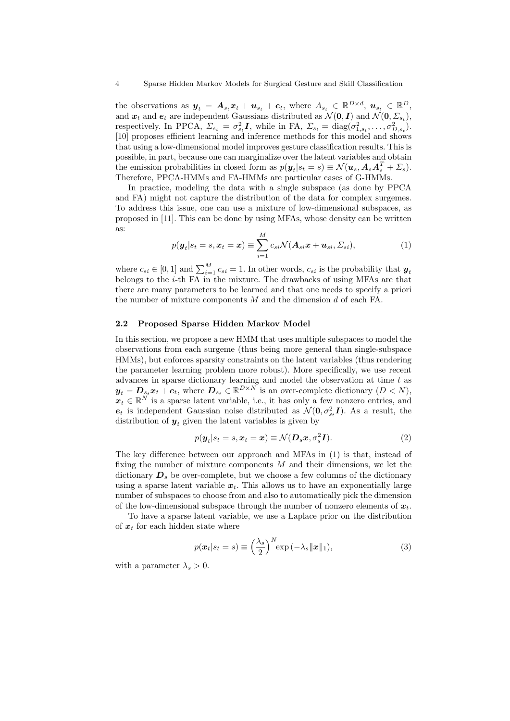the observations as  $y_t = A_{s_t} x_t + u_{s_t} + e_t$ , where  $A_{s_t} \in \mathbb{R}^{D \times d}$ ,  $u_{s_t} \in \mathbb{R}^D$ , and  $x_t$  and  $e_t$  are independent Gaussians distributed as  $\mathcal{N}(\mathbf{0}, I)$  and  $\mathcal{N}(\mathbf{0}, \Sigma_{s_t}),$ respectively. In PPCA,  $\Sigma_{s_t} = \sigma_{s_t}^2 I$ , while in FA,  $\Sigma_{s_t} = \text{diag}(\sigma_{1,s_t}^2, \ldots, \sigma_{D,s_t}^2)$ . [10] proposes efficient learning and inference methods for this model and shows that using a low-dimensional model improves gesture classification results. This is possible, in part, because one can marginalize over the latent variables and obtain the emission probabilities in closed form as  $p(\mathbf{y}_t|s_t = s) \equiv \mathcal{N}(\mathbf{u}_s, \mathbf{A}_s \mathbf{A}_s^T + \Sigma_s).$ Therefore, PPCA-HMMs and FA-HMMs are particular cases of G-HMMs.

In practice, modeling the data with a single subspace (as done by PPCA and FA) might not capture the distribution of the data for complex surgemes. To address this issue, one can use a mixture of low-dimensional subspaces, as proposed in [11]. This can be done by using MFAs, whose density can be written as:

$$
p(\boldsymbol{y}_t|s_t = s, \boldsymbol{x}_t = \boldsymbol{x}) \equiv \sum_{i=1}^{M} c_{si} \mathcal{N}(\boldsymbol{A}_{si}\boldsymbol{x} + \boldsymbol{u}_{si}, \Sigma_{si}),
$$
(1)

where  $c_{si} \in [0,1]$  and  $\sum_{i=1}^{M} c_{si} = 1$ . In other words,  $c_{si}$  is the probability that  $y_t$ belongs to the  $i$ -th  $FA$  in the mixture. The drawbacks of using MFAs are that there are many parameters to be learned and that one needs to specify a priori the number of mixture components  $M$  and the dimension  $d$  of each FA.

#### 2.2 Proposed Sparse Hidden Markov Model

In this section, we propose a new HMM that uses multiple subspaces to model the observations from each surgeme (thus being more general than single-subspace HMMs), but enforces sparsity constraints on the latent variables (thus rendering the parameter learning problem more robust). More specifically, we use recent advances in sparse dictionary learning and model the observation at time  $t$  as  $y_t = D_{s_t} x_t + e_t$ , where  $D_{s_t} \in \mathbb{R}^{D \times N}$  is an over-complete dictionary  $(D < N)$ ,  $x_t \in \mathbb{R}^N$  is a sparse latent variable, i.e., it has only a few nonzero entries, and  $e_t$  is independent Gaussian noise distributed as  $\mathcal{N}(0, \sigma_{s_t}^2 I)$ . As a result, the distribution of  $y_t$  given the latent variables is given by

$$
p(\mathbf{y}_t|s_t = s, \mathbf{x}_t = \mathbf{x}) \equiv \mathcal{N}(\mathbf{D}_s \mathbf{x}, \sigma_s^2 \mathbf{I}).
$$
\n(2)

The key difference between our approach and MFAs in (1) is that, instead of fixing the number of mixture components  $M$  and their dimensions, we let the dictionary  $D_s$  be over-complete, but we choose a few columns of the dictionary using a sparse latent variable  $x_t$ . This allows us to have an exponentially large number of subspaces to choose from and also to automatically pick the dimension of the low-dimensional subspace through the number of nonzero elements of  $x_t$ .

To have a sparse latent variable, we use a Laplace prior on the distribution of  $x_t$  for each hidden state where

$$
p(\boldsymbol{x}_t|s_t=s) \equiv \left(\frac{\lambda_s}{2}\right)^N \exp\left(-\lambda_s \|\boldsymbol{x}\|_1\right),\tag{3}
$$

with a parameter  $\lambda_s > 0$ .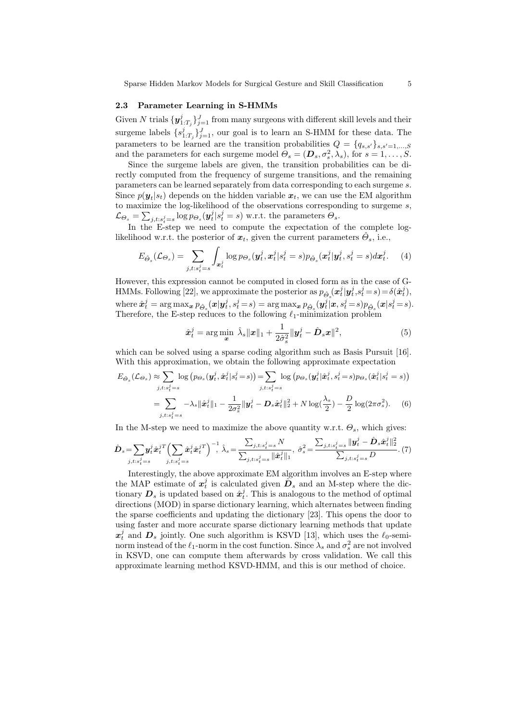#### 2.3 Parameter Learning in S-HMMs

 $j,t:s_t^j=s$ 

Given N trials  $\{y_{1:T_j}^j\}_{j=1}^J$  from many surgeons with different skill levels and their surgeme labels  $\{s_{1:T_j}^j\}_{j=1}^J$ , our goal is to learn an S-HMM for these data. The parameters to be learned are the transition probabilities  $Q = \{q_{s,s'}\}_{s,s'=1,\dots,S}$ and the parameters for each surgeme model  $\Theta_s = (\mathbf{D}_s, \sigma_s^2, \lambda_s)$ , for  $s = 1, \ldots, S$ .

Since the surgeme labels are given, the transition probabilities can be directly computed from the frequency of surgeme transitions, and the remaining parameters can be learned separately from data corresponding to each surgeme s. Since  $p(\mathbf{y}_t|s_t)$  depends on the hidden variable  $\mathbf{x}_t$ , we can use the EM algorithm to maximize the log-likelihood of the observations corresponding to surgeme s,  $\mathcal{L}_{\Theta_s} = \sum_{j,t:s_t^j=s} \log p_{\Theta_s}(\mathbf{y}_t^j | s_t^j = s)$  w.r.t. the parameters  $\Theta_s$ .

In the E-step we need to compute the expectation of the complete loglikelihood w.r.t. the posterior of  $x_t$ , given the current parameters  $\hat{\Theta}_s$ , i.e.,

$$
E_{\hat{\Theta}_s}(\mathcal{L}_{\Theta_s}) = \sum_{j,t:s_t^j=s} \int_{\mathbf{x}_t^j} \log p_{\Theta_s}(\mathbf{y}_t^j, \mathbf{x}_t^j | s_t^j = s) p_{\hat{\Theta}_s}(\mathbf{x}_t^j | \mathbf{y}_t^j, s_t^j = s) d\mathbf{x}_t^j.
$$
 (4)

However, this expression cannot be computed in closed form as in the case of G-HMMs. Following [22], we approximate the posterior as  $p_{\hat{\Theta}_{s}}(\boldsymbol{x}_{t}^{j}|\boldsymbol{y}_{t}^{j}, s_{t}^{j}=s) = \delta(\hat{\boldsymbol{x}}_{t}^{j}),$  $\text{where } \hat{\bm{x}}_t^j = \argmax_{\bm{x}} p_{\hat{\bm{\Theta}}_s}(\bm{x}|\bm{y}_t^j,s_t^j=s) = \argmax_{\bm{x}} p_{\hat{\bm{\Theta}}_s}(\bm{y}_t^j|\bm{x},s_t^j=s) p_{\hat{\bm{\Theta}}_s}(\bm{x}|s_t^j=s).$ Therefore, the E-step reduces to the following  $\ell_1$ -minimization problem

$$
\hat{\boldsymbol{x}}_t^j = \arg\min_{\boldsymbol{x}} \ \hat{\lambda}_s \|\boldsymbol{x}\|_1 + \frac{1}{2\hat{\sigma}_s^2} \|\boldsymbol{y}_t^j - \hat{\boldsymbol{D}}_s \boldsymbol{x}\|^2, \tag{5}
$$

which can be solved using a sparse coding algorithm such as Basis Pursuit [16]. With this approximation, we obtain the following approximate expectation

$$
E_{\hat{\Theta}_s}(\mathcal{L}_{\Theta_s}) \approx \sum_{j,t:s_t^j=s} \log (p_{\Theta_s}(\boldsymbol{y}_t^j, \hat{\boldsymbol{x}}_t^j | s_t^j = s)) = \sum_{j,t:s_t^j=s} \log (p_{\Theta_s}(\boldsymbol{y}_t^j | \hat{\boldsymbol{x}}_t^j, s_t^j = s) p_{\Theta_s}(\hat{\boldsymbol{x}}_t^j | s_t^j = s))
$$
  
= 
$$
\sum_i -\lambda_s \|\hat{\boldsymbol{x}}_t^j\|_1 - \frac{1}{2\sigma_s^2} \|\boldsymbol{y}_t^j - \boldsymbol{D}_s\hat{\boldsymbol{x}}_t^j\|_2^2 + N \log(\frac{\lambda_s}{2}) - \frac{D}{2} \log(2\pi\sigma_s^2).
$$
 (6)

In the M-step we need to maximize the above quantity w.r.t.  $\Theta_s$ , which gives:

$$
\hat{\boldsymbol{D}}_{s} = \sum_{j,t:s_t^j = s} \boldsymbol{y}_t^j \hat{\boldsymbol{x}}_t^{jT} \Big( \sum_{j,t:s_t^j = s} \hat{\boldsymbol{x}}_t^j \hat{\boldsymbol{x}}_t^{jT} \Big)^{-1}, \ \hat{\lambda}_s = \frac{\sum_{j,t:s_t^j = s} N}{\sum_{j,t:s_t^j = s} ||\hat{\boldsymbol{x}}_t^j||_1}, \ \hat{\sigma}_s^2 = \frac{\sum_{j,t:s_t^j = s} ||\boldsymbol{y}_t^j - \hat{\boldsymbol{D}}_s \hat{\boldsymbol{x}}_t^j||_2^2}{\sum_{j,t:s_t^j = s} D}. \ (7)
$$

Interestingly, the above approximate EM algorithm involves an E-step where the MAP estimate of  $x_t^j$  is calculated given  $\tilde{D_s}$  and an M-step where the dictionary  $D_s$  is updated based on  $\hat{x}_t^j$ . This is analogous to the method of optimal directions (MOD) in sparse dictionary learning, which alternates between finding the sparse coefficients and updating the dictionary [23]. This opens the door to using faster and more accurate sparse dictionary learning methods that update  $x_t^j$  and  $D_s$  jointly. One such algorithm is KSVD [13], which uses the  $\ell_0$ -seminorm instead of the  $\ell_1$ -norm in the cost function. Since  $\lambda_s$  and  $\sigma_s^2$  are not involved in KSVD, one can compute them afterwards by cross validation. We call this approximate learning method KSVD-HMM, and this is our method of choice.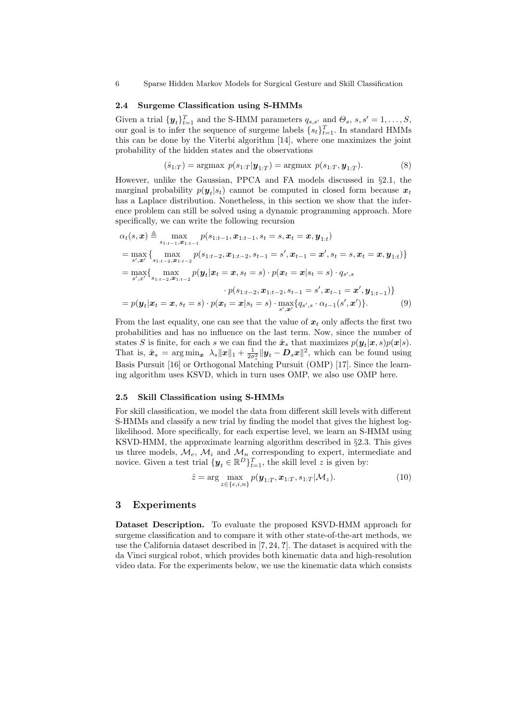6 Sparse Hidden Markov Models for Surgical Gesture and Skill Classification

#### 2.4 Surgeme Classification using S-HMMs

Given a trial  $\{\boldsymbol{y}_t\}_{t=1}^T$  and the S-HMM parameters  $q_{s,s'}$  and  $\Theta_s$ ,  $s, s'=1,\ldots,S$ , our goal is to infer the sequence of surgeme labels  $\{s_t\}_{t=1}^T$ . In standard HMMs this can be done by the Viterbi algorithm [14], where one maximizes the joint probability of the hidden states and the observations

$$
(\hat{s}_{1:T}) = \operatorname{argmax} \ p(s_{1:T}|\mathbf{y}_{1:T}) = \operatorname{argmax} \ p(s_{1:T}, \mathbf{y}_{1:T}). \tag{8}
$$

However, unlike the Gaussian, PPCA and FA models discussed in §2.1, the marginal probability  $p(\mathbf{y}_t|s_t)$  cannot be computed in closed form because  $\mathbf{x}_t$ has a Laplace distribution. Nonetheless, in this section we show that the inference problem can still be solved using a dynamic programming approach. More specifically, we can write the following recursion

$$
\alpha_t(s, \mathbf{x}) \triangleq \max_{s_{1:t-1}, \mathbf{x}_{1:t-1}} p(s_{1:t-1}, \mathbf{x}_{1:t-1}, s_t = s, \mathbf{x}_t = \mathbf{x}, \mathbf{y}_{1:t})
$$
\n
$$
= \max_{s', \mathbf{x}'} \{ \max_{s_{1:t-2}, \mathbf{x}_{1:t-2}} p(s_{1:t-2}, \mathbf{x}_{1:t-2}, s_{t-1} = s', \mathbf{x}_{t-1} = \mathbf{x}', s_t = s, \mathbf{x}_t = \mathbf{x}, \mathbf{y}_{1:t}) \}
$$
\n
$$
= \max_{s', \mathbf{x}'} \{ \max_{s_{1:t-2}, \mathbf{x}_{1:t-2}} p(\mathbf{y}_t | \mathbf{x}_t = \mathbf{x}, s_t = s) \cdot p(\mathbf{x}_t = \mathbf{x} | s_t = s) \cdot q_{s',s}
$$
\n
$$
\cdot p(s_{1:t-2}, \mathbf{x}_{1:t-2}, s_{t-1} = s', \mathbf{x}_{t-1} = \mathbf{x}', \mathbf{y}_{1:t-1}) \}
$$
\n
$$
= p(\mathbf{y}_t | \mathbf{x}_t = \mathbf{x}, s_t = s) \cdot p(\mathbf{x}_t = \mathbf{x} | s_t = s) \cdot \max_{s', \mathbf{x}'} \{q_{s',s} \cdot \alpha_{t-1}(s', \mathbf{x}')\}. \tag{9}
$$

From the last equality, one can see that the value of  $x_t$  only affects the first two probabilities and has no influence on the last term. Now, since the number of states S is finite, for each s we can find the  $\hat{x}_s$  that maximizes  $p(\mathbf{y}_t|\mathbf{x}, s)p(\mathbf{x}|s)$ . That is,  $\hat{x}_s = \arg \min_{\bm{x}} \lambda_s \|\bm{x}\|_1 + \frac{1}{2\sigma_s^2} \|\bm{y}_t - \bm{D}_s \bm{x}\|^2$ , which can be found using Basis Pursuit [16] or Orthogonal Matching Pursuit (OMP) [17]. Since the learning algorithm uses KSVD, which in turn uses OMP, we also use OMP here.

## 2.5 Skill Classification using S-HMMs

For skill classification, we model the data from different skill levels with different S-HMMs and classify a new trial by finding the model that gives the highest loglikelihood. More specifically, for each expertise level, we learn an S-HMM using KSVD-HMM, the approximate learning algorithm described in  $\S 2.3$ . This gives us three models,  $\mathcal{M}_e$ ,  $\mathcal{M}_i$  and  $\mathcal{M}_n$  corresponding to expert, intermediate and novice. Given a test trial  $\{y_t \in \mathbb{R}^D\}_{t=1}^T$ , the skill level z is given by:

$$
\hat{z} = \arg\max_{z \in \{e,i,n\}} p(\mathbf{y}_{1:T}, \mathbf{x}_{1:T}, s_{1:T} | \mathcal{M}_z). \tag{10}
$$

# 3 Experiments

 $\alpha$  ,  $\alpha$ 

Dataset Description. To evaluate the proposed KSVD-HMM approach for surgeme classification and to compare it with other state-of-the-art methods, we use the California dataset described in [7, 24, ?]. The dataset is acquired with the da Vinci surgical robot, which provides both kinematic data and high-resolution video data. For the experiments below, we use the kinematic data which consists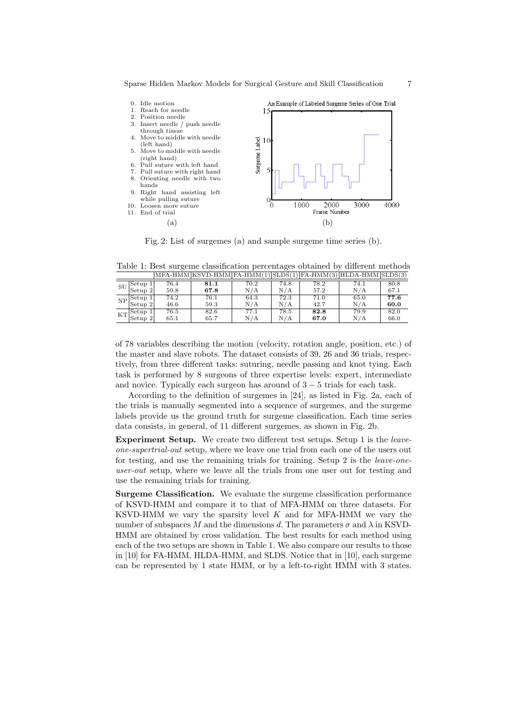

Fig. 2: List of surgemes (a) and sample surgeme time series (b).

Table 1: Best surgeme classification percentages obtained by different methods MFA-HMM KSVD-HMM FA-HMM(1) SLDS(1) FA-HMM(3) HLDA-HMM SLDS(3)

|               |         |      |      |      | .    |      |      |      |
|---------------|---------|------|------|------|------|------|------|------|
| $\mathrm{SU}$ | Setup 1 | 76.4 | 81.1 | 70.2 | 74.8 | 78.2 | 74.1 | 80.8 |
|               | Setup 2 | 59.8 | 67.8 | N/A  | N/A  | 57.2 | N/A  | 67.1 |
| NP            | Setup 1 | 74.2 | 76.1 | 64.3 | 72.3 | 71.0 | 65.0 | 77.6 |
|               | Setup 2 | 46.6 | 59.3 | N/A  | N/A  | 42.7 | N/A  | 60.0 |
| KT            | Setup   | 76.5 | 82.6 | 77.1 | 78.5 | 82.8 | 79.9 | 82.0 |
|               | Setup 2 | 65.1 | 65.7 | N/A  | N/A  | 67.0 | N/A  | 66.0 |

of 78 variables describing the motion (velocity, rotation angle, position, etc.) of the master and slave robots. The dataset consists of 39, 26 and 36 trials, respectively, from three different tasks: suturing, needle passing and knot tying. Each task is performed by 8 surgeons of three expertise levels: expert, intermediate and novice. Typically each surgeon has around of  $3 - 5$  trials for each task.

According to the definition of surgemes in [24], as listed in Fig. 2a, each of the trials is manually segmented into a sequence of surgemes, and the surgeme labels provide us the ground truth for surgeme classification. Each time series data consists, in general, of 11 different surgemes, as shown in Fig. 2b.

Experiment Setup. We create two different test setups. Setup 1 is the leaveone-supertrial-out setup, where we leave one trial from each one of the users out for testing, and use the remaining trials for training. Setup 2 is the leave-oneuser-out setup, where we leave all the trials from one user out for testing and use the remaining trials for training.

Surgeme Classification. We evaluate the surgeme classification performance of KSVD-HMM and compare it to that of MFA-HMM on three datasets. For KSVD-HMM we vary the sparsity level  $K$  and for MFA-HMM we vary the number of subspaces M and the dimensions d. The parameters  $\sigma$  and  $\lambda$  in KSVD-HMM are obtained by cross validation. The best results for each method using each of the two setups are shown in Table 1. We also compare our results to those in [10] for FA-HMM, HLDA-HMM, and SLDS. Notice that in [10], each surgeme can be represented by 1 state HMM, or by a left-to-right HMM with 3 states.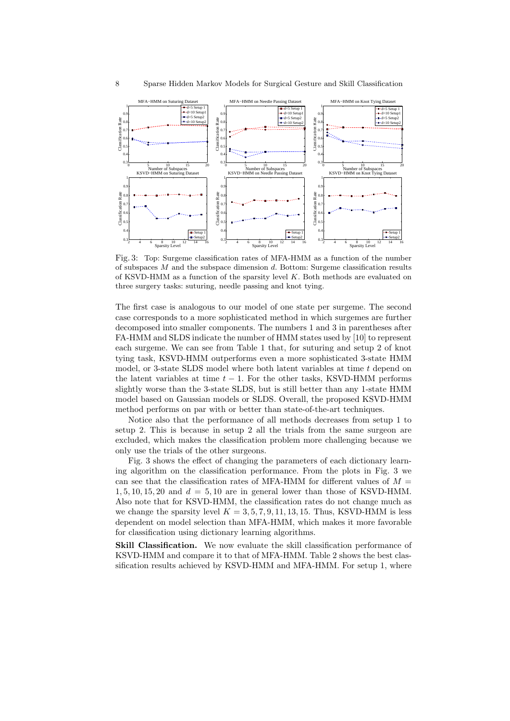

Fig. 3: Top: Surgeme classification rates of MFA-HMM as a function of the number of subspaces  $M$  and the subspace dimension  $d$ . Bottom: Surgeme classification results of KSVD-HMM as a function of the sparsity level K. Both methods are evaluated on three surgery tasks: suturing, needle passing and knot tying.

The first case is analogous to our model of one state per surgeme. The second case corresponds to a more sophisticated method in which surgemes are further decomposed into smaller components. The numbers 1 and 3 in parentheses after FA-HMM and SLDS indicate the number of HMM states used by [10] to represent each surgeme. We can see from Table 1 that, for suturing and setup 2 of knot tying task, KSVD-HMM outperforms even a more sophisticated 3-state HMM model, or 3-state SLDS model where both latent variables at time  $t$  depend on the latent variables at time  $t - 1$ . For the other tasks, KSVD-HMM performs slightly worse than the 3-state SLDS, but is still better than any 1-state HMM model based on Gaussian models or SLDS. Overall, the proposed KSVD-HMM method performs on par with or better than state-of-the-art techniques.

Notice also that the performance of all methods decreases from setup 1 to setup 2. This is because in setup 2 all the trials from the same surgeon are excluded, which makes the classification problem more challenging because we only use the trials of the other surgeons.

Fig. 3 shows the effect of changing the parameters of each dictionary learning algorithm on the classification performance. From the plots in Fig. 3 we can see that the classification rates of MFA-HMM for different values of  $M =$  $1, 5, 10, 15, 20$  and  $d = 5, 10$  are in general lower than those of KSVD-HMM. Also note that for KSVD-HMM, the classification rates do not change much as we change the sparsity level  $K = 3, 5, 7, 9, 11, 13, 15$ . Thus, KSVD-HMM is less dependent on model selection than MFA-HMM, which makes it more favorable for classification using dictionary learning algorithms.

Skill Classification. We now evaluate the skill classification performance of KSVD-HMM and compare it to that of MFA-HMM. Table 2 shows the best classification results achieved by KSVD-HMM and MFA-HMM. For setup 1, where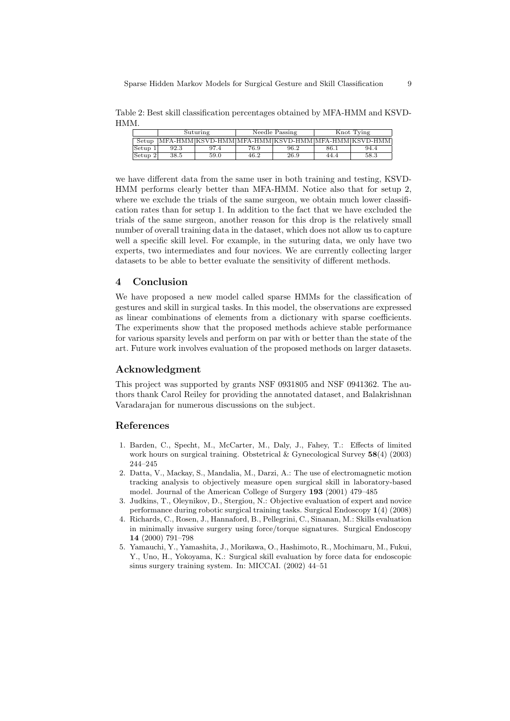Table 2: Best skill classification percentages obtained by MFA-HMM and KSVD-HMM.

|         | Suturing |      |      | Needle Passing                                     | Knot Tying |      |  |
|---------|----------|------|------|----------------------------------------------------|------------|------|--|
| Setup   |          |      |      | MFA-HMM KSVD-HMM MFA-HMM KSVD-HMM MFA-HMM KSVD-HMM |            |      |  |
| Setup 1 | 92.3     | 97.4 | 76.9 | 96.2                                               | 86.1       | 94.4 |  |
| Setup 2 | 38.5     | 59.0 | 46.2 | 26.9                                               | 44.4       | 58.3 |  |

we have different data from the same user in both training and testing, KSVD-HMM performs clearly better than MFA-HMM. Notice also that for setup 2, where we exclude the trials of the same surgeon, we obtain much lower classification rates than for setup 1. In addition to the fact that we have excluded the trials of the same surgeon, another reason for this drop is the relatively small number of overall training data in the dataset, which does not allow us to capture well a specific skill level. For example, in the suturing data, we only have two experts, two intermediates and four novices. We are currently collecting larger datasets to be able to better evaluate the sensitivity of different methods.

## 4 Conclusion

We have proposed a new model called sparse HMMs for the classification of gestures and skill in surgical tasks. In this model, the observations are expressed as linear combinations of elements from a dictionary with sparse coefficients. The experiments show that the proposed methods achieve stable performance for various sparsity levels and perform on par with or better than the state of the art. Future work involves evaluation of the proposed methods on larger datasets.

# Acknowledgment

This project was supported by grants NSF 0931805 and NSF 0941362. The authors thank Carol Reiley for providing the annotated dataset, and Balakrishnan Varadarajan for numerous discussions on the subject.

# References

- 1. Barden, C., Specht, M., McCarter, M., Daly, J., Fahey, T.: Effects of limited work hours on surgical training. Obstetrical & Gynecological Survey 58(4) (2003) 244–245
- 2. Datta, V., Mackay, S., Mandalia, M., Darzi, A.: The use of electromagnetic motion tracking analysis to objectively measure open surgical skill in laboratory-based model. Journal of the American College of Surgery 193 (2001) 479–485
- 3. Judkins, T., Oleynikov, D., Stergiou, N.: Objective evaluation of expert and novice performance during robotic surgical training tasks. Surgical Endoscopy 1(4) (2008)
- 4. Richards, C., Rosen, J., Hannaford, B., Pellegrini, C., Sinanan, M.: Skills evaluation in minimally invasive surgery using force/torque signatures. Surgical Endoscopy 14 (2000) 791–798
- 5. Yamauchi, Y., Yamashita, J., Morikawa, O., Hashimoto, R., Mochimaru, M., Fukui, Y., Uno, H., Yokoyama, K.: Surgical skill evaluation by force data for endoscopic sinus surgery training system. In: MICCAI. (2002) 44–51